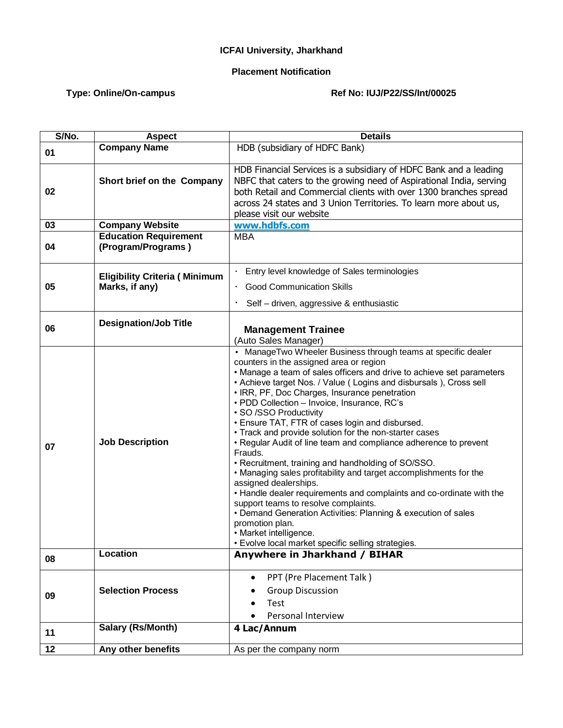## **ICFAI University, Jharkhand**

## **Placement Notification**

## Type: Online/On-campus **Ref No: IUJ/P22/SS/Int/00025**

| S/No.           | <b>Aspect</b>                                          | <b>Details</b>                                                                                                                                                                                                                                                                                                                                                                                                                                                                                                                                                                                                                                                                                                                                                                                                                                                                                                                                                                                                       |
|-----------------|--------------------------------------------------------|----------------------------------------------------------------------------------------------------------------------------------------------------------------------------------------------------------------------------------------------------------------------------------------------------------------------------------------------------------------------------------------------------------------------------------------------------------------------------------------------------------------------------------------------------------------------------------------------------------------------------------------------------------------------------------------------------------------------------------------------------------------------------------------------------------------------------------------------------------------------------------------------------------------------------------------------------------------------------------------------------------------------|
| 01              | <b>Company Name</b>                                    | HDB (subsidiary of HDFC Bank)                                                                                                                                                                                                                                                                                                                                                                                                                                                                                                                                                                                                                                                                                                                                                                                                                                                                                                                                                                                        |
| 02              | Short brief on the Company                             | HDB Financial Services is a subsidiary of HDFC Bank and a leading<br>NBFC that caters to the growing need of Aspirational India, serving<br>both Retail and Commercial clients with over 1300 branches spread<br>across 24 states and 3 Union Territories. To learn more about us,<br>please visit our website                                                                                                                                                                                                                                                                                                                                                                                                                                                                                                                                                                                                                                                                                                       |
| 03              | <b>Company Website</b>                                 | www.hdbfs.com                                                                                                                                                                                                                                                                                                                                                                                                                                                                                                                                                                                                                                                                                                                                                                                                                                                                                                                                                                                                        |
| 04              | <b>Education Requirement</b><br>(Program/Programs)     | <b>MBA</b>                                                                                                                                                                                                                                                                                                                                                                                                                                                                                                                                                                                                                                                                                                                                                                                                                                                                                                                                                                                                           |
| 05              | <b>Eligibility Criteria (Minimum</b><br>Marks, if any) | Entry level knowledge of Sales terminologies<br><b>Good Communication Skills</b><br>Self - driven, aggressive & enthusiastic                                                                                                                                                                                                                                                                                                                                                                                                                                                                                                                                                                                                                                                                                                                                                                                                                                                                                         |
| 06              | <b>Designation/Job Title</b>                           | <b>Management Trainee</b><br>(Auto Sales Manager)                                                                                                                                                                                                                                                                                                                                                                                                                                                                                                                                                                                                                                                                                                                                                                                                                                                                                                                                                                    |
| 07              | <b>Job Description</b>                                 | • ManageTwo Wheeler Business through teams at specific dealer<br>counters in the assigned area or region<br>• Manage a team of sales officers and drive to achieve set parameters<br>• Achieve target Nos. / Value (Logins and disbursals), Cross sell<br>• IRR, PF, Doc Charges, Insurance penetration<br>· PDD Collection - Invoice, Insurance, RC's<br>· SO /SSO Productivity<br>• Ensure TAT, FTR of cases login and disbursed.<br>• Track and provide solution for the non-starter cases<br>• Regular Audit of line team and compliance adherence to prevent<br>Frauds.<br>• Recruitment, training and handholding of SO/SSO.<br>. Managing sales profitability and target accomplishments for the<br>assigned dealerships.<br>• Handle dealer requirements and complaints and co-ordinate with the<br>support teams to resolve complaints.<br>• Demand Generation Activities: Planning & execution of sales<br>promotion plan.<br>• Market intelligence.<br>· Evolve local market specific selling strategies. |
| 08              | Location                                               | Anywhere in Jharkhand / BIHAR                                                                                                                                                                                                                                                                                                                                                                                                                                                                                                                                                                                                                                                                                                                                                                                                                                                                                                                                                                                        |
| 09              | <b>Selection Process</b>                               | PPT (Pre Placement Talk)<br>$\bullet$<br><b>Group Discussion</b><br>Test<br>Personal Interview                                                                                                                                                                                                                                                                                                                                                                                                                                                                                                                                                                                                                                                                                                                                                                                                                                                                                                                       |
| 11              | <b>Salary (Rs/Month)</b>                               | 4 Lac/Annum                                                                                                                                                                                                                                                                                                                                                                                                                                                                                                                                                                                                                                                                                                                                                                                                                                                                                                                                                                                                          |
| $\overline{12}$ | Any other benefits                                     | As per the company norm                                                                                                                                                                                                                                                                                                                                                                                                                                                                                                                                                                                                                                                                                                                                                                                                                                                                                                                                                                                              |